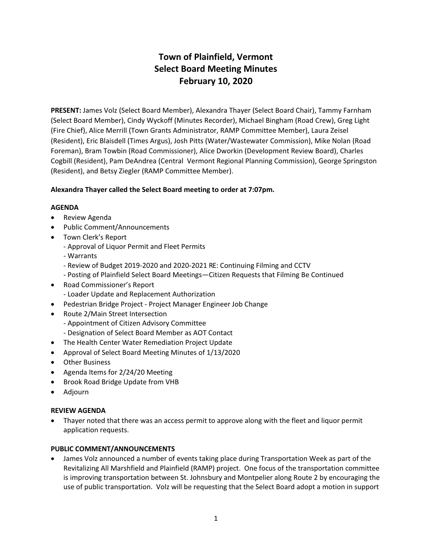# **Town of Plainfield, Vermont Select Board Meeting Minutes February 10, 2020**

**PRESENT:** James Volz (Select Board Member), Alexandra Thayer (Select Board Chair), Tammy Farnham (Select Board Member), Cindy Wyckoff (Minutes Recorder), Michael Bingham (Road Crew), Greg Light (Fire Chief), Alice Merrill (Town Grants Administrator, RAMP Committee Member), Laura Zeisel (Resident), Eric Blaisdell (Times Argus), Josh Pitts (Water/Wastewater Commission), Mike Nolan (Road Foreman), Bram Towbin (Road Commissioner), Alice Dworkin (Development Review Board), Charles Cogbill (Resident), Pam DeAndrea (Central Vermont Regional Planning Commission), George Springston (Resident), and Betsy Ziegler (RAMP Committee Member).

# **Alexandra Thayer called the Select Board meeting to order at 7:07pm.**

## **AGENDA**

- · Review Agenda
- · Public Comment/Announcements
- · Town Clerk's Report
	- Approval of Liquor Permit and Fleet Permits
	- Warrants
	- Review of Budget 2019-2020 and 2020-2021 RE: Continuing Filming and CCTV
	- Posting of Plainfield Select Board Meetings—Citizen Requests that Filming Be Continued
- · Road Commissioner's Report
	- Loader Update and Replacement Authorization
- · Pedestrian Bridge Project Project Manager Engineer Job Change
- · Route 2/Main Street Intersection
	- Appointment of Citizen Advisory Committee
	- Designation of Select Board Member as AOT Contact
- · The Health Center Water Remediation Project Update
- · Approval of Select Board Meeting Minutes of 1/13/2020
- · Other Business
- · Agenda Items for 2/24/20 Meeting
- · Brook Road Bridge Update from VHB
- · Adjourn

## **REVIEW AGENDA**

· Thayer noted that there was an access permit to approve along with the fleet and liquor permit application requests.

## **PUBLIC COMMENT/ANNOUNCEMENTS**

· James Volz announced a number of events taking place during Transportation Week as part of the Revitalizing All Marshfield and Plainfield (RAMP) project. One focus of the transportation committee is improving transportation between St. Johnsbury and Montpelier along Route 2 by encouraging the use of public transportation. Volz will be requesting that the Select Board adopt a motion in support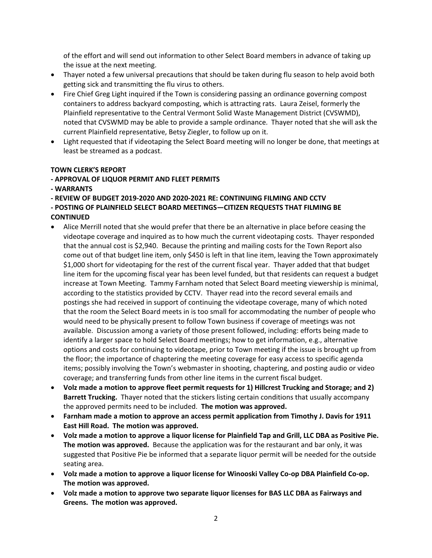of the effort and will send out information to other Select Board members in advance of taking up the issue at the next meeting.

- · Thayer noted a few universal precautions that should be taken during flu season to help avoid both getting sick and transmitting the flu virus to others.
- Fire Chief Greg Light inquired if the Town is considering passing an ordinance governing compost containers to address backyard composting, which is attracting rats. Laura Zeisel, formerly the Plainfield representative to the Central Vermont Solid Waste Management District (CVSWMD), noted that CVSWMD may be able to provide a sample ordinance. Thayer noted that she will ask the current Plainfield representative, Betsy Ziegler, to follow up on it.
- · Light requested that if videotaping the Select Board meeting will no longer be done, that meetings at least be streamed as a podcast.

# **TOWN CLERK'S REPORT**

# **- APPROVAL OF LIQUOR PERMIT AND FLEET PERMITS**

**- WARRANTS**

**- REVIEW OF BUDGET 2019-2020 AND 2020-2021 RE: CONTINUING FILMING AND CCTV**

- **POSTING OF PLAINFIELD SELECT BOARD MEETINGS—CITIZEN REQUESTS THAT FILMING BE CONTINUED**
- · Alice Merrill noted that she would prefer that there be an alternative in place before ceasing the videotape coverage and inquired as to how much the current videotaping costs. Thayer responded that the annual cost is \$2,940. Because the printing and mailing costs for the Town Report also come out of that budget line item, only \$450 is left in that line item, leaving the Town approximately \$1,000 short for videotaping for the rest of the current fiscal year. Thayer added that that budget line item for the upcoming fiscal year has been level funded, but that residents can request a budget increase at Town Meeting. Tammy Farnham noted that Select Board meeting viewership is minimal, according to the statistics provided by CCTV. Thayer read into the record several emails and postings she had received in support of continuing the videotape coverage, many of which noted that the room the Select Board meets in is too small for accommodating the number of people who would need to be physically present to follow Town business if coverage of meetings was not available. Discussion among a variety of those present followed, including: efforts being made to identify a larger space to hold Select Board meetings; how to get information, e.g., alternative options and costs for continuing to videotape, prior to Town meeting if the issue is brought up from the floor; the importance of chaptering the meeting coverage for easy access to specific agenda items; possibly involving the Town's webmaster in shooting, chaptering, and posting audio or video coverage; and transferring funds from other line items in the current fiscal budget.
- · **Volz made a motion to approve fleet permit requests for 1) Hillcrest Trucking and Storage; and 2) Barrett Trucking.** Thayer noted that the stickers listing certain conditions that usually accompany the approved permits need to be included. **The motion was approved.**
- · **Farnham made a motion to approve an access permit application from Timothy J. Davis for 1911 East Hill Road. The motion was approved.**
- · **Volz made a motion to approve a liquor license for Plainfield Tap and Grill, LLC DBA as Positive Pie. The motion was approved.** Because the application was for the restaurant and bar only, it was suggested that Positive Pie be informed that a separate liquor permit will be needed for the outside seating area.
- · **Volz made a motion to approve a liquor license for Winooski Valley Co-op DBA Plainfield Co-op. The motion was approved.**
- · **Volz made a motion to approve two separate liquor licenses for BAS LLC DBA as Fairways and Greens. The motion was approved.**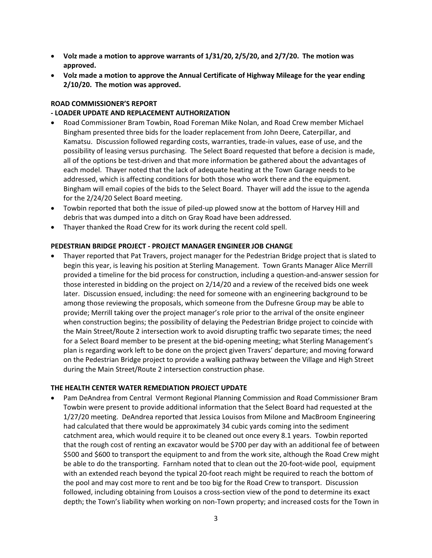- · **Volz made a motion to approve warrants of 1/31/20, 2/5/20, and 2/7/20. The motion was approved.**
- · **Volz made a motion to approve the Annual Certificate of Highway Mileage for the year ending 2/10/20. The motion was approved.**

#### **ROAD COMMISSIONER'S REPORT**

#### **- LOADER UPDATE AND REPLACEMENT AUTHORIZATION**

- · Road Commissioner Bram Towbin, Road Foreman Mike Nolan, and Road Crew member Michael Bingham presented three bids for the loader replacement from John Deere, Caterpillar, and Kamatsu. Discussion followed regarding costs, warranties, trade-in values, ease of use, and the possibility of leasing versus purchasing. The Select Board requested that before a decision is made, all of the options be test-driven and that more information be gathered about the advantages of each model. Thayer noted that the lack of adequate heating at the Town Garage needs to be addressed, which is affecting conditions for both those who work there and the equipment. Bingham will email copies of the bids to the Select Board. Thayer will add the issue to the agenda for the 2/24/20 Select Board meeting.
- · Towbin reported that both the issue of piled-up plowed snow at the bottom of Harvey Hill and debris that was dumped into a ditch on Gray Road have been addressed.
- · Thayer thanked the Road Crew for its work during the recent cold spell.

#### **PEDESTRIAN BRIDGE PROJECT - PROJECT MANAGER ENGINEER JOB CHANGE**

· Thayer reported that Pat Travers, project manager for the Pedestrian Bridge project that is slated to begin this year, is leaving his position at Sterling Management. Town Grants Manager Alice Merrill provided a timeline for the bid process for construction, including a question-and-answer session for those interested in bidding on the project on 2/14/20 and a review of the received bids one week later. Discussion ensued, including: the need for someone with an engineering background to be among those reviewing the proposals, which someone from the Dufresne Group may be able to provide; Merrill taking over the project manager's role prior to the arrival of the onsite engineer when construction begins; the possibility of delaying the Pedestrian Bridge project to coincide with the Main Street/Route 2 intersection work to avoid disrupting traffic two separate times; the need for a Select Board member to be present at the bid-opening meeting; what Sterling Management's plan is regarding work left to be done on the project given Travers' departure; and moving forward on the Pedestrian Bridge project to provide a walking pathway between the Village and High Street during the Main Street/Route 2 intersection construction phase.

#### **THE HEALTH CENTER WATER REMEDIATION PROJECT UPDATE**

· Pam DeAndrea from Central Vermont Regional Planning Commission and Road Commissioner Bram Towbin were present to provide additional information that the Select Board had requested at the 1/27/20 meeting. DeAndrea reported that Jessica Louisos from Milone and MacBroom Engineering had calculated that there would be approximately 34 cubic yards coming into the sediment catchment area, which would require it to be cleaned out once every 8.1 years. Towbin reported that the rough cost of renting an excavator would be \$700 per day with an additional fee of between \$500 and \$600 to transport the equipment to and from the work site, although the Road Crew might be able to do the transporting. Farnham noted that to clean out the 20-foot-wide pool, equipment with an extended reach beyond the typical 20-foot reach might be required to reach the bottom of the pool and may cost more to rent and be too big for the Road Crew to transport. Discussion followed, including obtaining from Louisos a cross-section view of the pond to determine its exact depth; the Town's liability when working on non-Town property; and increased costs for the Town in